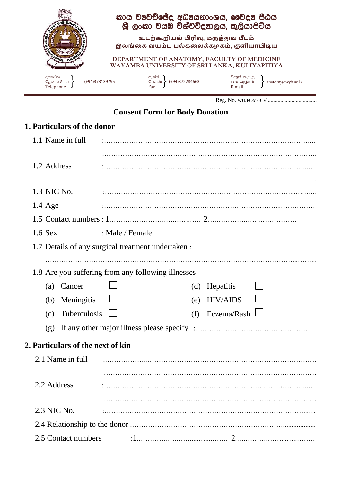

Reg. No. WU/FOM/BD/…………........................

## **Consent Form for Body Donation**

## **1. Particulars of the donor**

| 1.1 Name in full                                   |                 |                        |  |
|----------------------------------------------------|-----------------|------------------------|--|
|                                                    |                 |                        |  |
| 1.2 Address                                        |                 |                        |  |
|                                                    |                 |                        |  |
| 1.3 NIC No.                                        |                 |                        |  |
| $1.4 \text{ Age}$                                  |                 |                        |  |
|                                                    |                 |                        |  |
| $1.6$ Sex                                          | : Male / Female |                        |  |
|                                                    |                 |                        |  |
|                                                    |                 |                        |  |
| 1.8 Are you suffering from any following illnesses |                 |                        |  |
| (a) Cancer                                         |                 | (d) Hepatitis          |  |
| Meningitis<br>(b)                                  |                 | <b>HIV/AIDS</b><br>(e) |  |
| Tuberculosis<br>(c)                                |                 | Eczema/Rash<br>(f)     |  |
| (g)                                                |                 |                        |  |
| 2. Particulars of the next of kin                  |                 |                        |  |
| 2.1 Name in full                                   |                 |                        |  |
|                                                    |                 |                        |  |
| 2.2 Address                                        |                 |                        |  |
|                                                    |                 |                        |  |
| 2.3 NIC No.                                        |                 |                        |  |
|                                                    |                 |                        |  |
| 2.5 Contact numbers                                |                 |                        |  |